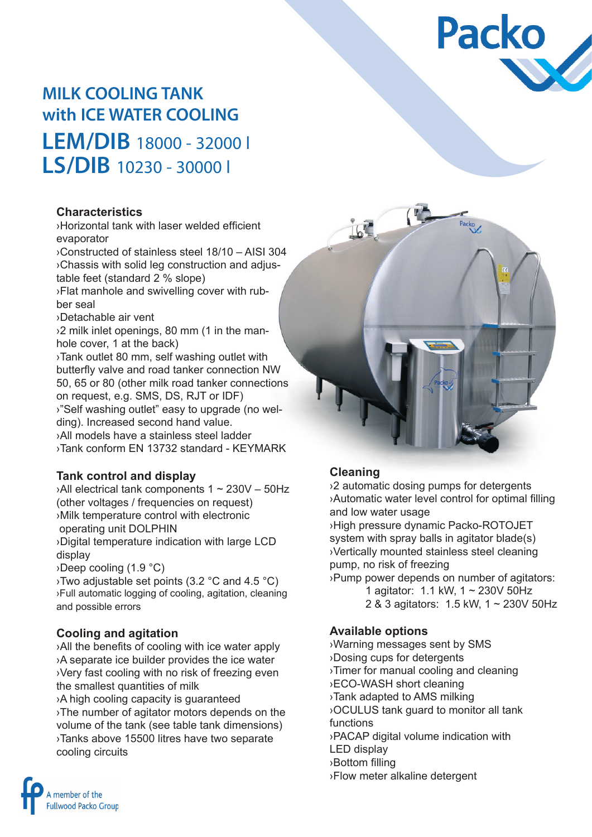

# **MILK COOLING TANK with ICE WATER COOLING LEM/DIB** 18000 - 32000 l **LS/DIB** 10230 - 30000 l

#### **Characteristics**

›Horizontal tank with laser welded efficient evaporator

›Constructed of stainless steel 18/10 – AISI 304 ›Chassis with solid leg construction and adjustable feet (standard 2 % slope) ›Flat manhole and swivelling cover with rub-

- ber seal
- ›Detachable air vent

›2 milk inlet openings, 80 mm (1 in the manhole cover, 1 at the back)

›Tank outlet 80 mm, self washing outlet with butterfly valve and road tanker connection NW 50, 65 or 80 (other milk road tanker connections on request, e.g. SMS, DS, RJT or IDF) ›"Self washing outlet" easy to upgrade (no welding). Increased second hand value. ›All models have a stainless steel ladder

›Tank conform EN 13732 standard - KEYMARK

#### **Tank control and display**

›All electrical tank components 1 ~ 230V – 50Hz (other voltages / frequencies on request) ›Milk temperature control with electronic operating unit DOLPHIN ›Digital temperature indication with large LCD display ›Deep cooling (1.9 °C) ›Two adjustable set points (3.2 °C and 4.5 °C)

›Full automatic logging of cooling, agitation, cleaning and possible errors

#### **Cooling and agitation**

›All the benefits of cooling with ice water apply ›A separate ice builder provides the ice water ›Very fast cooling with no risk of freezing even the smallest quantities of milk

›A high cooling capacity is guaranteed ›The number of agitator motors depends on the volume of the tank (see table tank dimensions) ›Tanks above 15500 litres have two separate cooling circuits



#### **Cleaning**

›2 automatic dosing pumps for detergents ›Automatic water level control for optimal filling and low water usage

›High pressure dynamic Packo-ROTOJET system with spray balls in agitator blade(s) ›Vertically mounted stainless steel cleaning pump, no risk of freezing

›Pump power depends on number of agitators: 1 agitator: 1.1 kW, 1 ~ 230V 50Hz

2 & 3 agitators: 1.5 kW, 1 ~ 230V 50Hz

#### **Available options**

›Warning messages sent by SMS ›Dosing cups for detergents ›Timer for manual cooling and cleaning ›ECO-WASH short cleaning ›Tank adapted to AMS milking ›OCULUS tank guard to monitor all tank functions ›PACAP digital volume indication with LED display ›Bottom filling ›Flow meter alkaline detergent